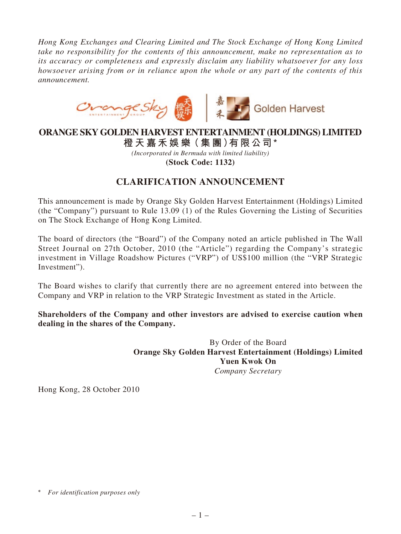*Hong Kong Exchanges and Clearing Limited and The Stock Exchange of Hong Kong Limited take no responsibility for the contents of this announcement, make no representation as to its accuracy or completeness and expressly disclaim any liability whatsoever for any loss howsoever arising from or in reliance upon the whole or any part of the contents of this announcement.*



## **ORANGE SKY GOLDEN HARVEST ENTERTAINMENT (HOLDINGS) LIMITED 橙 天 嘉禾娛 樂(集 團)有限公司 \***

*(Incorporated in Bermuda with limited liability)* **(Stock Code: 1132)**

## **CLARIFICATION ANNOUNCEMENT**

This announcement is made by Orange Sky Golden Harvest Entertainment (Holdings) Limited (the "Company") pursuant to Rule 13.09 (1) of the Rules Governing the Listing of Securities on The Stock Exchange of Hong Kong Limited.

The board of directors (the "Board") of the Company noted an article published in The Wall Street Journal on 27th October, 2010 (the "Article") regarding the Company's strategic investment in Village Roadshow Pictures ("VRP") of US\$100 million (the "VRP Strategic Investment").

The Board wishes to clarify that currently there are no agreement entered into between the Company and VRP in relation to the VRP Strategic Investment as stated in the Article.

**Shareholders of the Company and other investors are advised to exercise caution when dealing in the shares of the Company.**

> By Order of the Board **Orange Sky Golden Harvest Entertainment (Holdings) Limited Yuen Kwok On** *Company Secretary*

Hong Kong, 28 October 2010

<sup>\*</sup> *For identification purposes only*